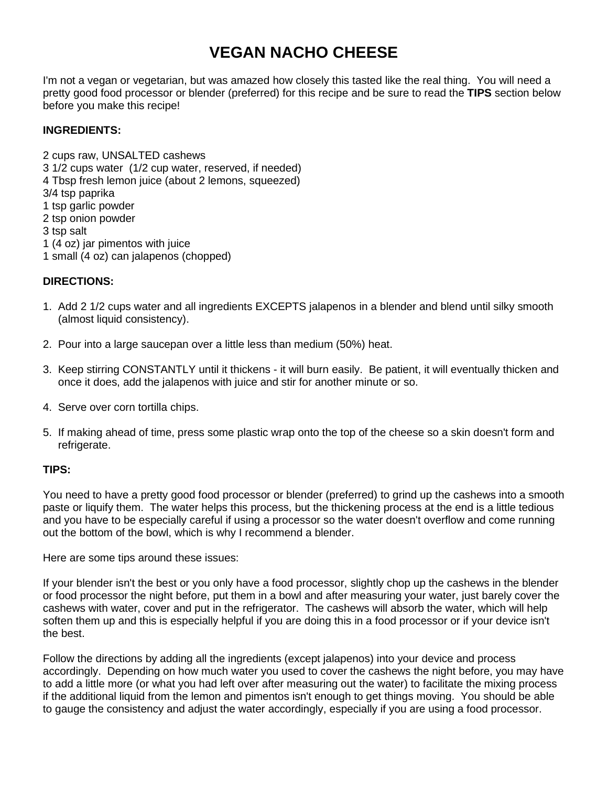## **VEGAN NACHO CHEESE**

I'm not a vegan or vegetarian, but was amazed how closely this tasted like the real thing. You will need a pretty good food processor or blender (preferred) for this recipe and be sure to read the **TIPS** section below before you make this recipe!

## **INGREDIENTS:**

2 cups raw, UNSALTED cashews 3 1/2 cups water (1/2 cup water, reserved, if needed) 4 Tbsp fresh lemon juice (about 2 lemons, squeezed) 3/4 tsp paprika 1 tsp garlic powder 2 tsp onion powder 3 tsp salt 1 (4 oz) jar pimentos with juice 1 small (4 oz) can jalapenos (chopped)

## **DIRECTIONS:**

- 1. Add 2 1/2 cups water and all ingredients EXCEPTS jalapenos in a blender and blend until silky smooth (almost liquid consistency).
- 2. Pour into a large saucepan over a little less than medium (50%) heat.
- 3. Keep stirring CONSTANTLY until it thickens it will burn easily. Be patient, it will eventually thicken and once it does, add the jalapenos with juice and stir for another minute or so.
- 4. Serve over corn tortilla chips.
- 5. If making ahead of time, press some plastic wrap onto the top of the cheese so a skin doesn't form and refrigerate.

## **TIPS:**

You need to have a pretty good food processor or blender (preferred) to grind up the cashews into a smooth paste or liquify them. The water helps this process, but the thickening process at the end is a little tedious and you have to be especially careful if using a processor so the water doesn't overflow and come running out the bottom of the bowl, which is why I recommend a blender.

Here are some tips around these issues:

If your blender isn't the best or you only have a food processor, slightly chop up the cashews in the blender or food processor the night before, put them in a bowl and after measuring your water, just barely cover the cashews with water, cover and put in the refrigerator. The cashews will absorb the water, which will help soften them up and this is especially helpful if you are doing this in a food processor or if your device isn't the best.

Follow the directions by adding all the ingredients (except jalapenos) into your device and process accordingly. Depending on how much water you used to cover the cashews the night before, you may have to add a little more (or what you had left over after measuring out the water) to facilitate the mixing process if the additional liquid from the lemon and pimentos isn't enough to get things moving. You should be able to gauge the consistency and adjust the water accordingly, especially if you are using a food processor.